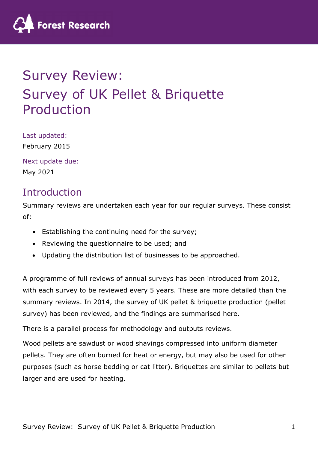

# Survey Review: Survey of UK Pellet & Briquette Production

Last updated: February 2015

Next update due: May 2021

## Introduction

Summary reviews are undertaken each year for our regular surveys. These consist of:

- Establishing the continuing need for the survey;
- Reviewing the questionnaire to be used; and
- Updating the distribution list of businesses to be approached.

A programme of full reviews of annual surveys has been introduced from 2012, with each survey to be reviewed every 5 years. These are more detailed than the summary reviews. In 2014, the survey of UK pellet & briquette production (pellet survey) has been reviewed, and the findings are summarised here.

There is a parallel process for methodology and outputs reviews.

Wood pellets are sawdust or wood shavings compressed into uniform diameter pellets. They are often burned for heat or energy, but may also be used for other purposes (such as horse bedding or cat litter). Briquettes are similar to pellets but larger and are used for heating.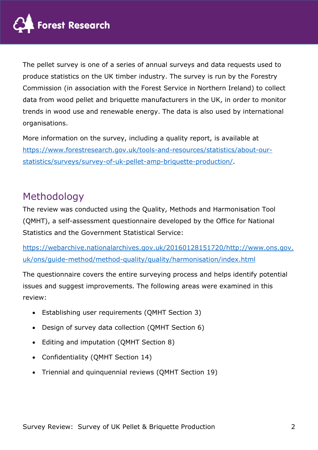

The pellet survey is one of a series of annual surveys and data requests used to produce statistics on the UK timber industry. The survey is run by the Forestry Commission (in association with the Forest Service in Northern Ireland) to collect data from wood pellet and briquette manufacturers in the UK, in order to monitor trends in wood use and renewable energy. The data is also used by international organisations.

More information on the survey, including a quality report, is available at https://www.forestresearch.gov.uk/tools-and-resources/statistics/about-ourstatistics/surveys/survey-of-uk-pellet-amp-briquette-production/.

## Methodology

The review was conducted using the Quality, Methods and Harmonisation Tool (QMHT), a self-assessment questionnaire developed by the Office for National Statistics and the Government Statistical Service:

https://webarchive.nationalarchives.gov.uk/20160128151720/http://www.ons.gov. uk/ons/guide-method/method-quality/quality/harmonisation/index.html

The questionnaire covers the entire surveying process and helps identify potential issues and suggest improvements. The following areas were examined in this review:

- Establishing user requirements (QMHT Section 3)
- Design of survey data collection (QMHT Section 6)
- Editing and imputation (QMHT Section 8)
- Confidentiality (QMHT Section 14)
- Triennial and quinquennial reviews (QMHT Section 19)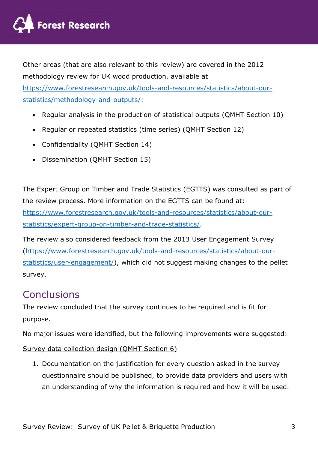

Other areas (that are also relevant to this review) are covered in the 2012 methodology review for UK wood production, available at https://www.forestresearch.gov.uk/tools-and-resources/statistics/about-ourstatistics/methodology-and-outputs/:

- Regular analysis in the production of statistical outputs (OMHT Section 10)
- Regular or repeated statistics (time series) (QMHT Section 12)
- Confidentiality (QMHT Section 14)
- Dissemination (QMHT Section 15)

The Expert Group on Timber and Trade Statistics (EGTTS) was consulted as part of the review process. More information on the EGTTS can be found at: https://www.forestresearch.gov.uk/tools-and-resources/statistics/about-our-

statistics/expert-group-on-timber-and-trade-statistics/.

The review also considered feedback from the 2013 User Engagement Survey (https://www.forestresearch.gov.uk/tools-and-resources/statistics/about-ourstatistics/user-engagement/), which did not suggest making changes to the pellet survey.

#### **Conclusions**

The review concluded that the survey continues to be required and is fit for purpose.

No major issues were identified, but the following improvements were suggested:

#### Survey data collection design (QMHT Section 6)

1. Documentation on the justification for every question asked in the survey questionnaire should be published, to provide data providers and users with an understanding of why the information is required and how it will be used.